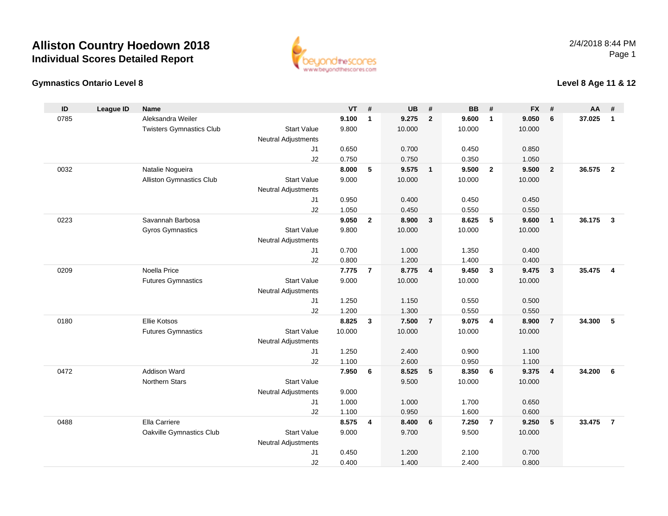



### **Level 8 Age 11 & 12**

| ID   | <b>League ID</b> | <b>Name</b>                     |                            | <b>VT</b> | #              | <b>UB</b> | #                       | <b>BB</b> | #                       | <b>FX</b> | #               | AA     | #              |
|------|------------------|---------------------------------|----------------------------|-----------|----------------|-----------|-------------------------|-----------|-------------------------|-----------|-----------------|--------|----------------|
| 0785 |                  | Aleksandra Weiler               |                            | 9.100     | $\mathbf{1}$   | 9.275     | $\overline{2}$          | 9.600     | $\mathbf{1}$            | 9.050     | $6\phantom{1}6$ | 37.025 | $\mathbf{1}$   |
|      |                  | <b>Twisters Gymnastics Club</b> | <b>Start Value</b>         | 9.800     |                | 10.000    |                         | 10.000    |                         | 10.000    |                 |        |                |
|      |                  |                                 | <b>Neutral Adjustments</b> |           |                |           |                         |           |                         |           |                 |        |                |
|      |                  |                                 | J1                         | 0.650     |                | 0.700     |                         | 0.450     |                         | 0.850     |                 |        |                |
|      |                  |                                 | J2                         | 0.750     |                | 0.750     |                         | 0.350     |                         | 1.050     |                 |        |                |
| 0032 |                  | Natalie Nogueira                |                            | 8.000     | $\sqrt{5}$     | 9.575     | $\overline{1}$          | 9.500     | $\overline{\mathbf{2}}$ | 9.500     | $\overline{2}$  | 36.575 | $\overline{2}$ |
|      |                  | Alliston Gymnastics Club        | <b>Start Value</b>         | 9.000     |                | 10.000    |                         | 10.000    |                         | 10.000    |                 |        |                |
|      |                  |                                 | <b>Neutral Adjustments</b> |           |                |           |                         |           |                         |           |                 |        |                |
|      |                  |                                 | J1                         | 0.950     |                | 0.400     |                         | 0.450     |                         | 0.450     |                 |        |                |
|      |                  |                                 | J2                         | 1.050     |                | 0.450     |                         | 0.550     |                         | 0.550     |                 |        |                |
| 0223 |                  | Savannah Barbosa                | <b>Start Value</b>         | 9.050     | $\overline{2}$ | 8.900     | $\mathbf{3}$            | 8.625     | 5                       | 9.600     | $\overline{1}$  | 36.175 | $\mathbf{3}$   |
|      |                  | <b>Gyros Gymnastics</b>         | <b>Neutral Adjustments</b> | 9.800     |                | 10.000    |                         | 10.000    |                         | 10.000    |                 |        |                |
|      |                  |                                 | J1                         | 0.700     |                | 1.000     |                         | 1.350     |                         | 0.400     |                 |        |                |
|      |                  |                                 | J2                         | 0.800     |                | 1.200     |                         | 1.400     |                         | 0.400     |                 |        |                |
| 0209 |                  | Noella Price                    |                            | 7.775     | $\overline{7}$ | 8.775     | $\overline{\mathbf{4}}$ | 9.450     | $\mathbf{3}$            | 9.475     | $\mathbf{3}$    | 35.475 | $\overline{4}$ |
|      |                  | <b>Futures Gymnastics</b>       | <b>Start Value</b>         | 9.000     |                | 10.000    |                         | 10.000    |                         | 10.000    |                 |        |                |
|      |                  |                                 | <b>Neutral Adjustments</b> |           |                |           |                         |           |                         |           |                 |        |                |
|      |                  |                                 | J1                         | 1.250     |                | 1.150     |                         | 0.550     |                         | 0.500     |                 |        |                |
|      |                  |                                 | J2                         | 1.200     |                | 1.300     |                         | 0.550     |                         | 0.550     |                 |        |                |
| 0180 |                  | Ellie Kotsos                    |                            | 8.825     | $\mathbf{3}$   | 7.500     | $\overline{7}$          | 9.075     | $\overline{4}$          | 8.900     | $\overline{7}$  | 34.300 | 5              |
|      |                  | <b>Futures Gymnastics</b>       | <b>Start Value</b>         | 10.000    |                | 10.000    |                         | 10.000    |                         | 10.000    |                 |        |                |
|      |                  |                                 | <b>Neutral Adjustments</b> |           |                |           |                         |           |                         |           |                 |        |                |
|      |                  |                                 | J1                         | 1.250     |                | 2.400     |                         | 0.900     |                         | 1.100     |                 |        |                |
|      |                  |                                 | J2                         | 1.100     |                | 2.600     |                         | 0.950     |                         | 1.100     |                 |        |                |
| 0472 |                  | Addison Ward                    |                            | 7.950     | 6              | 8.525     | 5                       | 8.350     | 6                       | 9.375     | $\overline{4}$  | 34.200 | 6              |
|      |                  | <b>Northern Stars</b>           | <b>Start Value</b>         |           |                | 9.500     |                         | 10.000    |                         | 10.000    |                 |        |                |
|      |                  |                                 | <b>Neutral Adjustments</b> | 9.000     |                |           |                         |           |                         |           |                 |        |                |
|      |                  |                                 | J1                         | 1.000     |                | 1.000     |                         | 1.700     |                         | 0.650     |                 |        |                |
|      |                  |                                 | J2                         | 1.100     |                | 0.950     |                         | 1.600     |                         | 0.600     |                 |        |                |
| 0488 |                  | Ella Carriere                   |                            | 8.575     | 4              | 8.400     | 6                       | 7.250     | $\overline{7}$          | 9.250     | $\sqrt{5}$      | 33.475 | $\overline{7}$ |
|      |                  | Oakville Gymnastics Club        | <b>Start Value</b>         | 9.000     |                | 9.700     |                         | 9.500     |                         | 10.000    |                 |        |                |
|      |                  |                                 | <b>Neutral Adjustments</b> | 0.450     |                | 1.200     |                         | 2.100     |                         | 0.700     |                 |        |                |
|      |                  |                                 | J1<br>J2                   | 0.400     |                | 1.400     |                         | 2.400     |                         | 0.800     |                 |        |                |
|      |                  |                                 |                            |           |                |           |                         |           |                         |           |                 |        |                |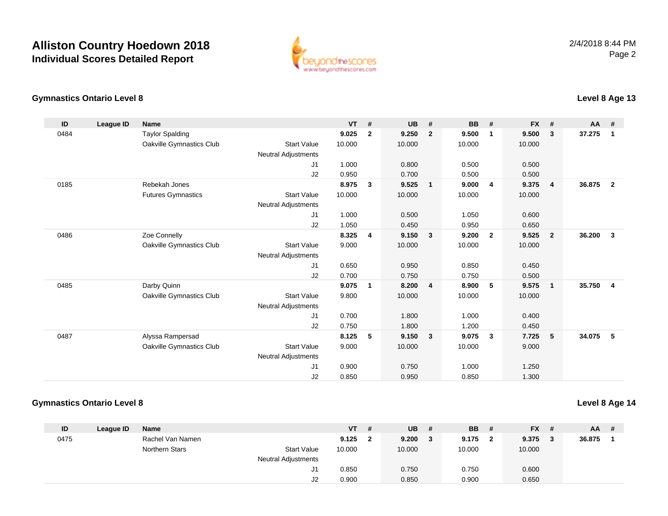

#### **Gymnastics Ontario Level 8Level 8 Age 13**

| ID   | <b>League ID</b> | Name                      |                            | VT     | #              | <b>UB</b> | #                       | BB     | #              | <b>FX</b> | #                       | $AA$ # |                         |
|------|------------------|---------------------------|----------------------------|--------|----------------|-----------|-------------------------|--------|----------------|-----------|-------------------------|--------|-------------------------|
| 0484 |                  | <b>Taylor Spalding</b>    |                            | 9.025  | $\overline{2}$ | 9.250     | $\overline{2}$          | 9.500  | $\mathbf 1$    | 9.500     | $\mathbf{3}$            | 37.275 | $\overline{\mathbf{1}}$ |
|      |                  | Oakville Gymnastics Club  | <b>Start Value</b>         | 10.000 |                | 10.000    |                         | 10.000 |                | 10.000    |                         |        |                         |
|      |                  |                           | Neutral Adjustments        |        |                |           |                         |        |                |           |                         |        |                         |
|      |                  |                           | J <sub>1</sub>             | 1.000  |                | 0.800     |                         | 0.500  |                | 0.500     |                         |        |                         |
|      |                  |                           | J2                         | 0.950  |                | 0.700     |                         | 0.500  |                | 0.500     |                         |        |                         |
| 0185 |                  | Rebekah Jones             |                            | 8.975  | $\mathbf{3}$   | 9.525     | $\overline{1}$          | 9.000  | 4              | 9.375     | $\overline{\mathbf{4}}$ | 36.875 | $\overline{2}$          |
|      |                  | <b>Futures Gymnastics</b> | <b>Start Value</b>         | 10.000 |                | 10.000    |                         | 10.000 |                | 10.000    |                         |        |                         |
|      |                  |                           | <b>Neutral Adjustments</b> |        |                |           |                         |        |                |           |                         |        |                         |
|      |                  |                           | J <sub>1</sub>             | 1.000  |                | 0.500     |                         | 1.050  |                | 0.600     |                         |        |                         |
|      |                  |                           | J2                         | 1.050  |                | 0.450     |                         | 0.950  |                | 0.650     |                         |        |                         |
| 0486 |                  | Zoe Connelly              |                            | 8.325  | 4              | 9.150     | -3                      | 9.200  | $\overline{2}$ | 9.525     | $\overline{2}$          | 36.200 | $\overline{\mathbf{3}}$ |
|      |                  | Oakville Gymnastics Club  | <b>Start Value</b>         | 9.000  |                | 10.000    |                         | 10.000 |                | 10.000    |                         |        |                         |
|      |                  |                           | <b>Neutral Adjustments</b> |        |                |           |                         |        |                |           |                         |        |                         |
|      |                  |                           | J <sub>1</sub>             | 0.650  |                | 0.950     |                         | 0.850  |                | 0.450     |                         |        |                         |
|      |                  |                           | J2                         | 0.700  |                | 0.750     |                         | 0.750  |                | 0.500     |                         |        |                         |
| 0485 |                  | Darby Quinn               |                            | 9.075  | $\mathbf{1}$   | 8.200     | $\overline{4}$          | 8.900  | 5              | 9.575     | 1                       | 35.750 | $\overline{\mathbf{4}}$ |
|      |                  | Oakville Gymnastics Club  | <b>Start Value</b>         | 9.800  |                | 10.000    |                         | 10.000 |                | 10.000    |                         |        |                         |
|      |                  |                           | <b>Neutral Adjustments</b> |        |                |           |                         |        |                |           |                         |        |                         |
|      |                  |                           | J <sub>1</sub>             | 0.700  |                | 1.800     |                         | 1.000  |                | 0.400     |                         |        |                         |
|      |                  |                           | J2                         | 0.750  |                | 1.800     |                         | 1.200  |                | 0.450     |                         |        |                         |
| 0487 |                  | Alyssa Rampersad          |                            | 8.125  | 5              | 9.150     | $\overline{\mathbf{3}}$ | 9.075  | 3              | 7.725     | 5                       | 34.075 | $-5$                    |
|      |                  | Oakville Gymnastics Club  | <b>Start Value</b>         | 9.000  |                | 10.000    |                         | 10.000 |                | 9.000     |                         |        |                         |
|      |                  |                           | <b>Neutral Adjustments</b> |        |                |           |                         |        |                |           |                         |        |                         |
|      |                  |                           | J <sub>1</sub>             | 0.900  |                | 0.750     |                         | 1.000  |                | 1.250     |                         |        |                         |
|      |                  |                           | J <sub>2</sub>             | 0.850  |                | 0.950     |                         | 0.850  |                | 1.300     |                         |        |                         |

### **Gymnastics Ontario Level 8**

**Level 8 Age 14**

| ID   | League ID | <b>Name</b>      |                            | VT.    | #   | <b>UB</b> | # | <b>BB</b> | # | $FX$ # |   | $AA$ # |  |
|------|-----------|------------------|----------------------------|--------|-----|-----------|---|-----------|---|--------|---|--------|--|
| 0475 |           | Rachel Van Namen |                            | 9.125  | - 2 | 9.200     |   | 9.175     | 2 | 9.375  | 3 | 36.875 |  |
|      |           | Northern Stars   | <b>Start Value</b>         | 10.000 |     | 10.000    |   | 10.000    |   | 10.000 |   |        |  |
|      |           |                  | <b>Neutral Adjustments</b> |        |     |           |   |           |   |        |   |        |  |
|      |           |                  | J1                         | 0.850  |     | 0.750     |   | 0.750     |   | 0.600  |   |        |  |
|      |           |                  | J2                         | 0.900  |     | 0.850     |   | 0.900     |   | 0.650  |   |        |  |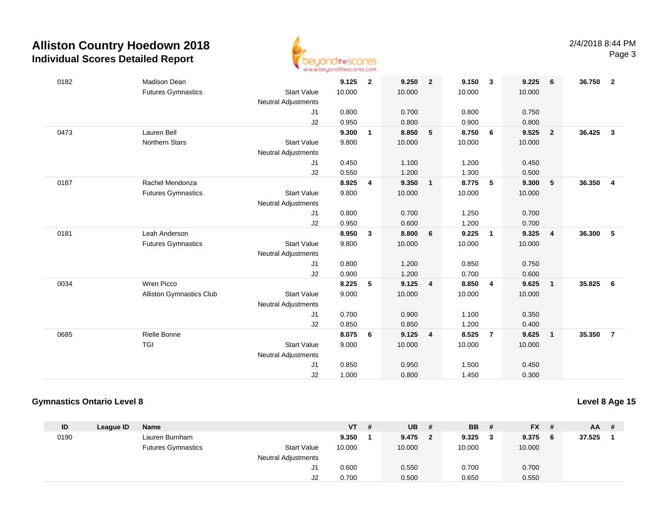

| 0182<br>Madison Dean<br>9.125<br>$\mathbf{2}$<br><b>Futures Gymnastics</b><br><b>Start Value</b><br>10.000<br><b>Neutral Adjustments</b><br>0.800<br>J1<br>J2<br>0.950<br>Lauren Bell<br>9.300<br>0473<br>$\mathbf{1}$<br><b>Northern Stars</b><br><b>Start Value</b><br>9.800<br><b>Neutral Adjustments</b><br>J1<br>0.450<br>J2<br>0.550 | $\overline{2}$<br>9.250<br>10.000<br>0.700<br>0.800<br>8.850<br>5<br>10.000 | 9.150<br>$\overline{\mathbf{3}}$<br>10.000<br>0.800<br>0.900<br>8.750<br>6<br>10.000 | 9.225<br>6<br>10.000<br>0.750<br>0.800<br>9.525<br>$\overline{2}$ | 36.750<br>$\overline{\mathbf{2}}$ |
|--------------------------------------------------------------------------------------------------------------------------------------------------------------------------------------------------------------------------------------------------------------------------------------------------------------------------------------------|-----------------------------------------------------------------------------|--------------------------------------------------------------------------------------|-------------------------------------------------------------------|-----------------------------------|
|                                                                                                                                                                                                                                                                                                                                            |                                                                             |                                                                                      |                                                                   |                                   |
|                                                                                                                                                                                                                                                                                                                                            |                                                                             |                                                                                      |                                                                   |                                   |
|                                                                                                                                                                                                                                                                                                                                            |                                                                             |                                                                                      |                                                                   |                                   |
|                                                                                                                                                                                                                                                                                                                                            |                                                                             |                                                                                      |                                                                   |                                   |
|                                                                                                                                                                                                                                                                                                                                            |                                                                             |                                                                                      |                                                                   |                                   |
|                                                                                                                                                                                                                                                                                                                                            |                                                                             |                                                                                      |                                                                   | 36.425<br>$\mathbf{3}$            |
|                                                                                                                                                                                                                                                                                                                                            |                                                                             |                                                                                      | 10.000                                                            |                                   |
|                                                                                                                                                                                                                                                                                                                                            |                                                                             |                                                                                      |                                                                   |                                   |
|                                                                                                                                                                                                                                                                                                                                            | 1.100                                                                       | 1.200                                                                                | 0.450                                                             |                                   |
|                                                                                                                                                                                                                                                                                                                                            | 1.200                                                                       | 1.300                                                                                | 0.500                                                             |                                   |
| 8.925<br>0187<br>Rachel Mendonza<br>4                                                                                                                                                                                                                                                                                                      | 9.350<br>$\mathbf{1}$                                                       | 8.775<br>$-5$                                                                        | 9.300<br>5                                                        | 36.350<br>$\overline{4}$          |
| <b>Start Value</b><br><b>Futures Gymnastics</b><br>9.800                                                                                                                                                                                                                                                                                   | 10.000                                                                      | 10.000                                                                               | 10.000                                                            |                                   |
| <b>Neutral Adjustments</b>                                                                                                                                                                                                                                                                                                                 |                                                                             |                                                                                      |                                                                   |                                   |
| 0.800<br>J1                                                                                                                                                                                                                                                                                                                                | 0.700                                                                       | 1.250                                                                                | 0.700                                                             |                                   |
| J2<br>0.950                                                                                                                                                                                                                                                                                                                                | 0.600                                                                       | 1.200                                                                                | 0.700                                                             |                                   |
| 0181<br>Leah Anderson<br>8.950<br>3                                                                                                                                                                                                                                                                                                        | 8.800<br>6                                                                  | 9.225<br>$\overline{1}$                                                              | 9.325<br>$\overline{4}$                                           | 36.300<br>5                       |
| <b>Futures Gymnastics</b><br><b>Start Value</b><br>9.800                                                                                                                                                                                                                                                                                   | 10.000                                                                      | 10.000                                                                               | 10.000                                                            |                                   |
| Neutral Adjustments                                                                                                                                                                                                                                                                                                                        |                                                                             |                                                                                      |                                                                   |                                   |
| 0.800<br>J1                                                                                                                                                                                                                                                                                                                                | 1.200                                                                       | 0.850                                                                                | 0.750                                                             |                                   |
| 0.900<br>J2                                                                                                                                                                                                                                                                                                                                | 1.200                                                                       | 0.700                                                                                | 0.600                                                             |                                   |
| 0034<br>Wren Picco<br>8.225<br>5                                                                                                                                                                                                                                                                                                           | 9.125<br>$\overline{4}$                                                     | 8.850<br>$\overline{4}$                                                              | 9.625<br>$\overline{1}$                                           | 35.825<br>6                       |
| Alliston Gymnastics Club<br><b>Start Value</b><br>9.000                                                                                                                                                                                                                                                                                    | 10.000                                                                      | 10.000                                                                               | 10.000                                                            |                                   |
| <b>Neutral Adjustments</b>                                                                                                                                                                                                                                                                                                                 |                                                                             |                                                                                      |                                                                   |                                   |
| J1<br>0.700                                                                                                                                                                                                                                                                                                                                | 0.900                                                                       | 1.100                                                                                | 0.350                                                             |                                   |
| J <sub>2</sub><br>0.850                                                                                                                                                                                                                                                                                                                    | 0.850                                                                       | 1.200                                                                                | 0.400                                                             |                                   |
| Rielle Bonne<br>8.075<br>6<br>0685                                                                                                                                                                                                                                                                                                         | 9.125<br>$\overline{4}$                                                     | 8.525<br>$\overline{7}$                                                              | 9.625<br>$\overline{1}$                                           | 35.350<br>$\overline{7}$          |
| <b>Start Value</b><br><b>TGI</b><br>9.000                                                                                                                                                                                                                                                                                                  | 10.000                                                                      | 10.000                                                                               | 10.000                                                            |                                   |
| <b>Neutral Adjustments</b>                                                                                                                                                                                                                                                                                                                 |                                                                             |                                                                                      |                                                                   |                                   |
| 0.850<br>J1                                                                                                                                                                                                                                                                                                                                | 0.950                                                                       | 1.500                                                                                | 0.450                                                             |                                   |
| J2<br>1.000<br>0.800                                                                                                                                                                                                                                                                                                                       |                                                                             |                                                                                      | 0.300                                                             |                                   |

### **Gymnastics Ontario Level 8**

### **Level 8 Age 15**

| ID   | League ID | <b>Name</b>               |                            | <b>VT</b> | -# | <b>UB</b> | # | <b>BB</b> | $FX$ # | $AA$ # |  |
|------|-----------|---------------------------|----------------------------|-----------|----|-----------|---|-----------|--------|--------|--|
| 0190 |           | Lauren Burnham            |                            | 9.350     |    | 9.475     |   | 9.325     | 9.375  | 37.525 |  |
|      |           | <b>Futures Gymnastics</b> | <b>Start Value</b>         | 10.000    |    | 10.000    |   | 10.000    | 10.000 |        |  |
|      |           |                           | <b>Neutral Adjustments</b> |           |    |           |   |           |        |        |  |
|      |           |                           | ا ب                        | 0.600     |    | 0.550     |   | 0.700     | 0.700  |        |  |
|      |           |                           | J2                         | 0.700     |    | 0.500     |   | 0.650     | 0.550  |        |  |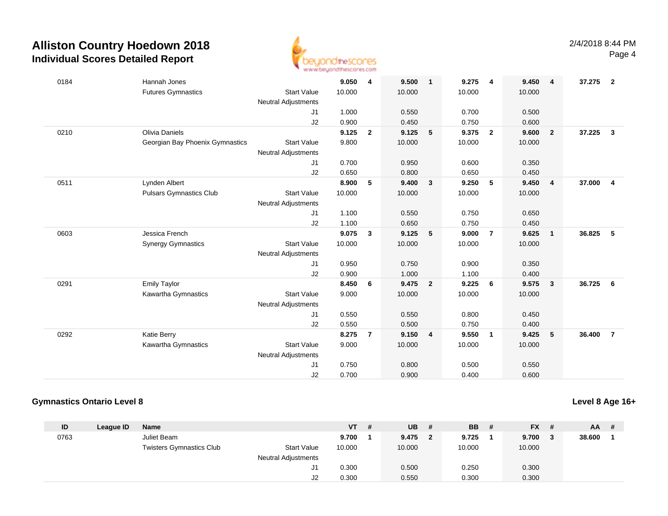

| 0184 | Hannah Jones                    |                            | 9.050  | $\overline{4}$ | 9.500  | $\mathbf{1}$   | 9.275  | $\overline{4}$ | 9.450  | $\overline{\mathbf{4}}$ | 37.275 | $\overline{\mathbf{2}}$ |
|------|---------------------------------|----------------------------|--------|----------------|--------|----------------|--------|----------------|--------|-------------------------|--------|-------------------------|
|      | <b>Futures Gymnastics</b>       | <b>Start Value</b>         | 10.000 |                | 10.000 |                | 10.000 |                | 10.000 |                         |        |                         |
|      |                                 | <b>Neutral Adjustments</b> |        |                |        |                |        |                |        |                         |        |                         |
|      |                                 | J1                         | 1.000  |                | 0.550  |                | 0.700  |                | 0.500  |                         |        |                         |
|      |                                 | J2                         | 0.900  |                | 0.450  |                | 0.750  |                | 0.600  |                         |        |                         |
| 0210 | Olivia Daniels                  |                            | 9.125  | $\overline{2}$ | 9.125  | 5              | 9.375  | $\overline{2}$ | 9.600  | $\overline{2}$          | 37.225 | $\mathbf{3}$            |
|      | Georgian Bay Phoenix Gymnastics | <b>Start Value</b>         | 9.800  |                | 10.000 |                | 10.000 |                | 10.000 |                         |        |                         |
|      |                                 | <b>Neutral Adjustments</b> |        |                |        |                |        |                |        |                         |        |                         |
|      |                                 | J1                         | 0.700  |                | 0.950  |                | 0.600  |                | 0.350  |                         |        |                         |
|      |                                 | J2                         | 0.650  |                | 0.800  |                | 0.650  |                | 0.450  |                         |        |                         |
| 0511 | Lynden Albert                   |                            | 8.900  | 5              | 9.400  | $\mathbf{3}$   | 9.250  | 5              | 9.450  | $\overline{4}$          | 37.000 | $\overline{4}$          |
|      | <b>Pulsars Gymnastics Club</b>  | <b>Start Value</b>         | 10.000 |                | 10.000 |                | 10.000 |                | 10.000 |                         |        |                         |
|      |                                 | Neutral Adjustments        |        |                |        |                |        |                |        |                         |        |                         |
|      |                                 | J1                         | 1.100  |                | 0.550  |                | 0.750  |                | 0.650  |                         |        |                         |
|      |                                 | J2                         | 1.100  |                | 0.650  |                | 0.750  |                | 0.450  |                         |        |                         |
| 0603 | Jessica French                  |                            | 9.075  | $\mathbf{3}$   | 9.125  | 5              | 9.000  | $\overline{7}$ | 9.625  | $\overline{1}$          | 36.825 | 5                       |
|      | <b>Synergy Gymnastics</b>       | <b>Start Value</b>         | 10.000 |                | 10.000 |                | 10.000 |                | 10.000 |                         |        |                         |
|      |                                 | <b>Neutral Adjustments</b> |        |                |        |                |        |                |        |                         |        |                         |
|      |                                 | J1                         | 0.950  |                | 0.750  |                | 0.900  |                | 0.350  |                         |        |                         |
|      |                                 | J2                         | 0.900  |                | 1.000  |                | 1.100  |                | 0.400  |                         |        |                         |
| 0291 | <b>Emily Taylor</b>             |                            | 8.450  | 6              | 9.475  | $\overline{2}$ | 9.225  | 6              | 9.575  | $\overline{\mathbf{3}}$ | 36.725 | - 6                     |
|      | Kawartha Gymnastics             | <b>Start Value</b>         | 9.000  |                | 10.000 |                | 10.000 |                | 10.000 |                         |        |                         |
|      |                                 | <b>Neutral Adjustments</b> |        |                |        |                |        |                |        |                         |        |                         |
|      |                                 | J1                         | 0.550  |                | 0.550  |                | 0.800  |                | 0.450  |                         |        |                         |
|      |                                 | J2                         | 0.550  |                | 0.500  |                | 0.750  |                | 0.400  |                         |        |                         |
| 0292 | Katie Berry                     |                            | 8.275  | $\overline{7}$ | 9.150  | 4              | 9.550  | $\overline{1}$ | 9.425  | 5                       | 36.400 | $\overline{7}$          |
|      | Kawartha Gymnastics             | <b>Start Value</b>         | 9.000  |                | 10.000 |                | 10.000 |                | 10.000 |                         |        |                         |
|      |                                 | <b>Neutral Adjustments</b> |        |                |        |                |        |                |        |                         |        |                         |
|      |                                 | J1                         | 0.750  |                | 0.800  |                | 0.500  |                | 0.550  |                         |        |                         |
|      |                                 | J2                         | 0.700  |                | 0.900  |                | 0.400  |                | 0.600  |                         |        |                         |
|      |                                 |                            |        |                |        |                |        |                |        |                         |        |                         |

### **Gymnastics Ontario Level 8**

**Level 8 Age 16+**

| ID   | League ID | Name                            |                     | <b>VT</b> | -# | <b>UB</b> | # | <b>BB</b> | $FX$ # | <b>AA</b> | - # |
|------|-----------|---------------------------------|---------------------|-----------|----|-----------|---|-----------|--------|-----------|-----|
| 0763 |           | Juliet Beam                     |                     | 9.700     |    | 9.475     |   | 9.725     | 9.700  | 38.600    |     |
|      |           | <b>Twisters Gymnastics Club</b> | <b>Start Value</b>  | 10.000    |    | 10.000    |   | 10.000    | 10.000 |           |     |
|      |           |                                 | Neutral Adjustments |           |    |           |   |           |        |           |     |
|      |           |                                 | J1                  | 0.300     |    | 0.500     |   | 0.250     | 0.300  |           |     |
|      |           |                                 | J2                  | 0.300     |    | 0.550     |   | 0.300     | 0.300  |           |     |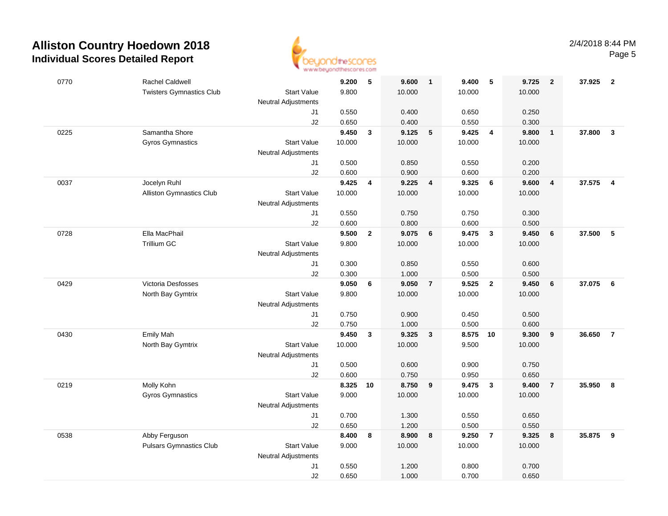

| 0770 | <b>Rachel Caldwell</b>          |                            | 9.200    | 5            | 9.600  | $\overline{1}$          | 9.400          | 5                       | 9.725  | $\overline{2}$ | 37.925   | $\overline{\mathbf{2}}$ |
|------|---------------------------------|----------------------------|----------|--------------|--------|-------------------------|----------------|-------------------------|--------|----------------|----------|-------------------------|
|      | <b>Twisters Gymnastics Club</b> | <b>Start Value</b>         | 9.800    |              | 10.000 |                         | 10.000         |                         | 10.000 |                |          |                         |
|      |                                 | <b>Neutral Adjustments</b> |          |              |        |                         |                |                         |        |                |          |                         |
|      |                                 | J1                         | 0.550    |              | 0.400  |                         | 0.650          |                         | 0.250  |                |          |                         |
|      |                                 | J2                         | 0.650    |              | 0.400  |                         | 0.550          |                         | 0.300  |                |          |                         |
| 0225 | Samantha Shore                  |                            | 9.450    | $\mathbf{3}$ | 9.125  | $\sqrt{5}$              | 9.425          | $\overline{\mathbf{4}}$ | 9.800  | $\mathbf{1}$   | 37.800   | $\mathbf{3}$            |
|      | <b>Gyros Gymnastics</b>         | <b>Start Value</b>         | 10.000   |              | 10.000 |                         | 10.000         |                         | 10.000 |                |          |                         |
|      |                                 | <b>Neutral Adjustments</b> |          |              |        |                         |                |                         |        |                |          |                         |
|      |                                 | J1                         | 0.500    |              | 0.850  |                         | 0.550          |                         | 0.200  |                |          |                         |
|      |                                 | J2                         | 0.600    |              | 0.900  |                         | 0.600          |                         | 0.200  |                |          |                         |
| 0037 | Jocelyn Ruhl                    |                            | 9.425    | 4            | 9.225  | $\overline{4}$          | 9.325          | 6                       | 9.600  | $\overline{4}$ | 37.575 4 |                         |
|      | <b>Alliston Gymnastics Club</b> | <b>Start Value</b>         | 10.000   |              | 10.000 |                         | 10.000         |                         | 10.000 |                |          |                         |
|      |                                 | <b>Neutral Adjustments</b> |          |              |        |                         |                |                         |        |                |          |                         |
|      |                                 | J1                         | 0.550    |              | 0.750  |                         | 0.750          |                         | 0.300  |                |          |                         |
|      |                                 | J2                         | 0.600    |              | 0.800  |                         | 0.600          |                         | 0.500  |                |          |                         |
| 0728 | Ella MacPhail                   |                            | 9.500    | $\mathbf{2}$ | 9.075  | 6                       | 9.475          | $\mathbf{3}$            | 9.450  | 6              | 37.500   | $\sqrt{5}$              |
|      | Trillium GC                     | <b>Start Value</b>         | 9.800    |              | 10.000 |                         | 10.000         |                         | 10.000 |                |          |                         |
|      |                                 | <b>Neutral Adjustments</b> |          |              |        |                         |                |                         |        |                |          |                         |
|      |                                 | $\sf J1$                   | 0.300    |              | 0.850  |                         | 0.550          |                         | 0.600  |                |          |                         |
|      |                                 | J2                         | 0.300    |              | 1.000  |                         | 0.500          |                         | 0.500  |                |          |                         |
| 0429 | Victoria Desfosses              |                            | 9.050    | 6            | 9.050  | $\overline{7}$          | 9.525          | $\overline{\mathbf{2}}$ | 9.450  | 6              | 37.075   | $6\overline{6}$         |
|      | North Bay Gymtrix               | <b>Start Value</b>         | 9.800    |              | 10.000 |                         | 10.000         |                         | 10.000 |                |          |                         |
|      |                                 | <b>Neutral Adjustments</b> |          |              |        |                         |                |                         |        |                |          |                         |
|      |                                 | J1                         | 0.750    |              | 0.900  |                         | 0.450          |                         | 0.500  |                |          |                         |
|      |                                 | J2                         | 0.750    |              | 1.000  |                         | 0.500          |                         | 0.600  |                |          |                         |
| 0430 | <b>Emily Mah</b>                |                            | 9.450    | 3            | 9.325  | $\overline{\mathbf{3}}$ | 8.575          | 10                      | 9.300  | 9              | 36.650   | $\overline{7}$          |
|      | North Bay Gymtrix               | <b>Start Value</b>         | 10.000   |              | 10.000 |                         | 9.500          |                         | 10.000 |                |          |                         |
|      |                                 | <b>Neutral Adjustments</b> |          |              |        |                         |                |                         |        |                |          |                         |
|      |                                 | J1                         | 0.500    |              | 0.600  |                         | 0.900          |                         | 0.750  |                |          |                         |
|      |                                 | J2                         | 0.600    |              | 0.750  |                         | 0.950          |                         | 0.650  |                |          |                         |
| 0219 | Molly Kohn                      |                            | 8.325 10 |              | 8.750  | 9                       | 9.475          | $\mathbf{3}$            | 9.400  | $\overline{7}$ | 35.950   | 8                       |
|      | Gyros Gymnastics                | <b>Start Value</b>         | 9.000    |              | 10.000 |                         | 10.000         |                         | 10.000 |                |          |                         |
|      |                                 | <b>Neutral Adjustments</b> |          |              |        |                         |                |                         |        |                |          |                         |
|      |                                 | J1                         | 0.700    |              | 1.300  |                         | 0.550          |                         | 0.650  |                |          |                         |
|      |                                 | J2                         | 0.650    |              | 1.200  |                         | 0.500          |                         | 0.550  |                |          |                         |
| 0538 | Abby Ferguson                   |                            | 8.400    | 8            | 8.900  | $\boldsymbol{8}$        | 9.250          | $\overline{7}$          | 9.325  | 8              | 35.875   | $\overline{\mathbf{9}}$ |
|      | <b>Pulsars Gymnastics Club</b>  | <b>Start Value</b>         | 9.000    |              | 10.000 |                         | 10.000         |                         | 10.000 |                |          |                         |
|      |                                 | <b>Neutral Adjustments</b> |          |              |        |                         |                |                         |        |                |          |                         |
|      |                                 | J1<br>J2                   | 0.550    |              | 1.200  |                         | 0.800<br>0.700 |                         | 0.700  |                |          |                         |
|      |                                 |                            | 0.650    |              | 1.000  |                         |                |                         | 0.650  |                |          |                         |